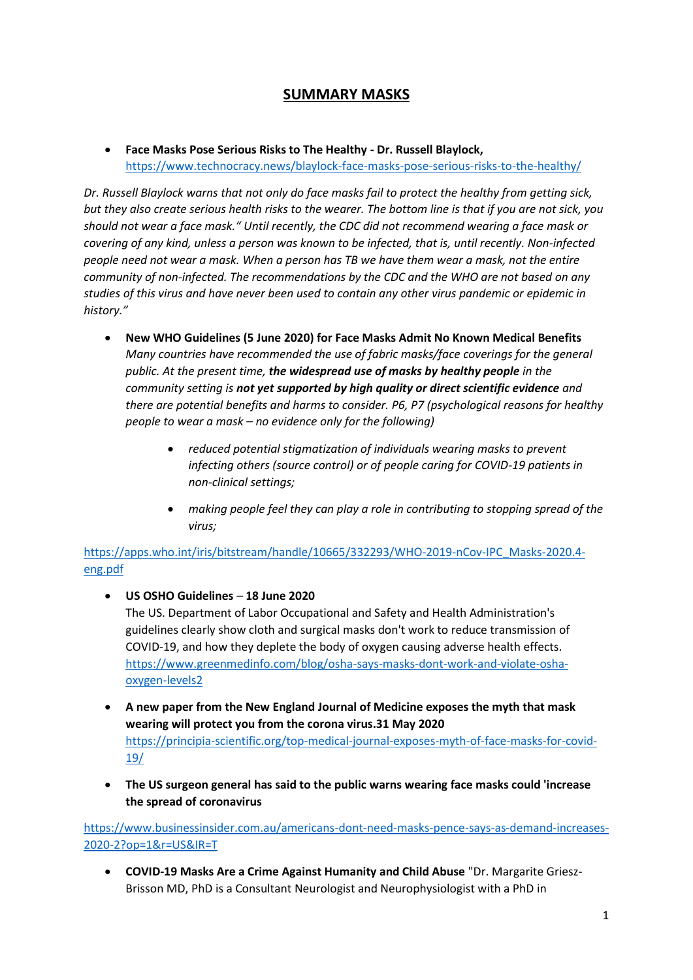## **SUMMARY MASKS**

• **Face Masks Pose Serious Risks to The Healthy - Dr. Russell Blaylock,**  <https://www.technocracy.news/blaylock-face-masks-pose-serious-risks-to-the-healthy/>

*Dr. Russell Blaylock warns that not only do face masks fail to protect the healthy from getting sick, but they also create serious health risks to the wearer. The bottom line is that if you are not sick, you should not wear a face mask." Until recently, the CDC did not recommend wearing a face mask or covering of any kind, unless a person was known to be infected, that is, until recently. Non-infected people need not wear a mask. When a person has TB we have them wear a mask, not the entire community of non-infected. The recommendations by the CDC and the WHO are not based on any studies of this virus and have never been used to contain any other virus pandemic or epidemic in history."*

- **New WHO Guidelines (5 June 2020) for Face Masks Admit No Known Medical Benefits**  *Many countries have recommended the use of fabric masks/face coverings for the general public. At the present time, the widespread use of masks by healthy people in the community setting is not yet supported by high quality or direct scientific evidence and there are potential benefits and harms to consider. P6, P7 (psychological reasons for healthy people to wear a mask – no evidence only for the following)*
	- *reduced potential stigmatization of individuals wearing masks to prevent infecting others (source control) or of people caring for COVID-19 patients in non-clinical settings;*
	- *making people feel they can play a role in contributing to stopping spread of the virus;*

[https://apps.who.int/iris/bitstream/handle/10665/332293/WHO-2019-nCov-IPC\\_Masks-2020.4](https://apps.who.int/iris/bitstream/handle/10665/332293/WHO-2019-nCov-IPC_Masks-2020.4-eng.pdf) [eng.pdf](https://apps.who.int/iris/bitstream/handle/10665/332293/WHO-2019-nCov-IPC_Masks-2020.4-eng.pdf)

- **US OSHO Guidelines 18 June 2020** The US. Department of Labor Occupational and Safety and Health Administration's guidelines clearly show cloth and surgical masks don't work to reduce transmission of COVID-19, and how they deplete the body of oxygen causing adverse health effects. [https://www.greenmedinfo.com/blog/osha-says-masks-dont-work-and-violate-osha](https://www.greenmedinfo.com/blog/osha-says-masks-dont-work-and-violate-osha-oxygen-levels2)[oxygen-levels2](https://www.greenmedinfo.com/blog/osha-says-masks-dont-work-and-violate-osha-oxygen-levels2)
- **A new paper from the New England Journal of Medicine exposes the myth that mask wearing will protect you from the corona virus.31 May 2020** [https://principia-scientific.org/top-medical-journal-exposes-myth-of-face-masks-for-covid-](https://principia-scientific.org/top-medical-journal-exposes-myth-of-face-masks-for-covid-19/)[19/](https://principia-scientific.org/top-medical-journal-exposes-myth-of-face-masks-for-covid-19/)
- **The US surgeon general has said to the public warns wearing face masks could 'increase the spread of coronavirus**

[https://www.businessinsider.com.au/americans-dont-need-masks-pence-says-as-demand-increases-](https://www.businessinsider.com.au/americans-dont-need-masks-pence-says-as-demand-increases-2020-2?op=1&r=US&IR=T)[2020-2?op=1&r=US&IR=T](https://www.businessinsider.com.au/americans-dont-need-masks-pence-says-as-demand-increases-2020-2?op=1&r=US&IR=T)

• **COVID-19 Masks Are a Crime Against Humanity and Child Abuse** "Dr. Margarite Griesz-Brisson MD, PhD is a Consultant Neurologist and Neurophysiologist with a PhD in